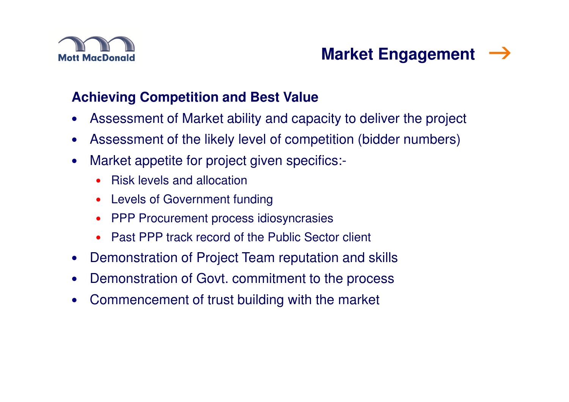

# **Market Engagement**

#### **Achieving Competition and Best Value**

- $\bullet$ Assessment of Market ability and capacity to deliver the project
- $\bullet$ Assessment of the likely level of competition (bidder numbers)
- • Market appetite for project given specifics:-
	- •Risk levels and allocation
	- Levels of Government funding
	- PPP Procurement process idiosyncrasies
	- Past PPP track record of the Public Sector client
- $\bullet$ Demonstration of Project Team reputation and skills
- •Demonstration of Govt. commitment to the process
- •Commencement of trust building with the market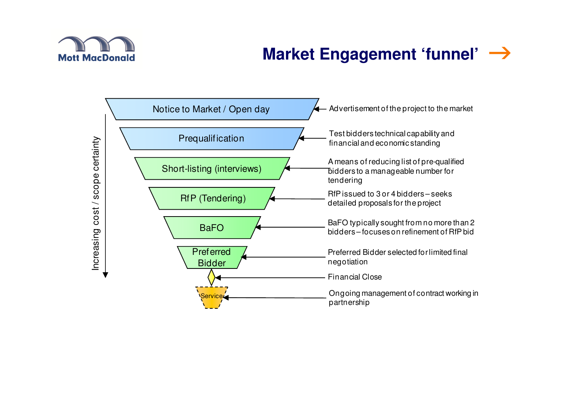

# **Market Engagement 'funnel'**

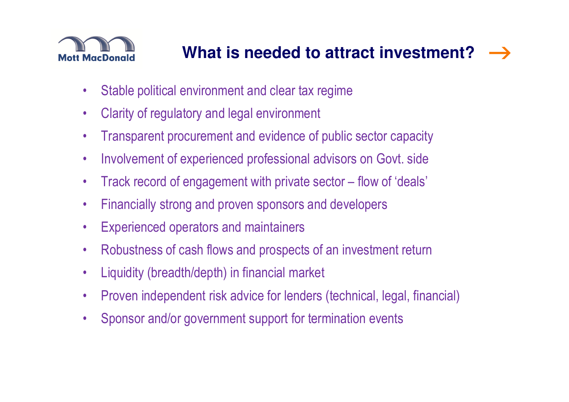

#### $\rightarrow$ **What is needed to attract investment?**

- $\bullet$ Stable political environment and clear tax regime
- $\bullet$ Clarity of regulatory and legal environment
- •Transparent procurement and evidence of public sector capacity
- $\bullet$ Involvement of experienced professional advisors on Govt. side
- $\bullet$ Track record of engagement with private sector – flow of 'deals'
- $\bullet$ Financially strong and proven sponsors and developers
- •Experienced operators and maintainers
- $\bullet$ Robustness of cash flows and prospects of an investment return
- •Liquidity (breadth/depth) in financial market
- •Proven independent risk advice for lenders (technical, legal, financial)
- •Sponsor and/or government support for termination events